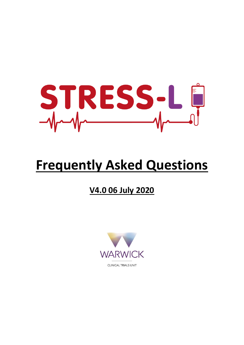

# **Frequently Asked Questions**

# **V4.0 06 July 2020**

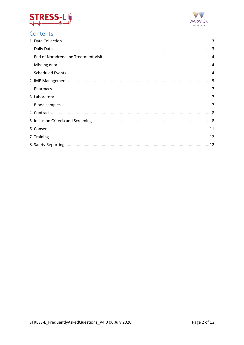



# Contents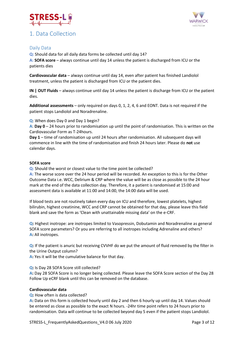

# <span id="page-2-0"></span>1. Data Collection



### <span id="page-2-1"></span>Daily Data

**Q:** Should data for all daily data forms be collected until day 14?

**A: SOFA score** – always continue until day 14 unless the patient is discharged from ICU or the patients dies

**Cardiovascular data** – always continue until day 14, even after patient has finished Landiolol treatment, unless the patient is discharged from ICU or the patient dies.

**IN | OUT Fluids** – always continue until day 14 unless the patient is discharge from ICU or the patient dies.

**Additional assessments** – only required on days 0, 1, 2, 4, 6 and EONT. Data is not required if the patient stops Landiolol and Noradrenaline.

**Q**: When does Day 0 and Day 1 begin?

**A**: **Day 0** – 24 hours prior to randomisation up until the point of randomisation. This is written on the Cardiovascular Form as T-24hours.

**Day 1** – time of randomisation up until 24 hours after randomisation. All subsequent days will commence in line with the time of randomisation and finish 24 hours later. Please do **not** use calendar days.

#### **SOFA score**

**Q:** Should the worst or closest value to the time point be collected?

**A:** The worse score over the 24 hour period will be recorded. An exception to this is for the Other Outcome Data i.e. WCC, Delirium & CRP where the value will be as close as possible to the 24 hour mark at the end of the data collection day. Therefore, it a patient is randomised at 15:00 and assessment data is available at 11:00 and 14:00, the 14:00 data will be used.

If blood tests are not routinely taken every day on ICU and therefore, lowest platelets, highest bilirubin, highest creatinine, WCC and CRP cannot be obtained for that day, please leave this field blank and save the form as 'Clean with unattainable missing data' on the e-CRF.

**Q:** Highest inotrope: are inotropes limited to Vasopressin, Dobutamin and Noradrenaline as general SOFA score parameters? Or you are referring to all inotropes including Adrenaline and others? **A:** All inotropes.

**Q:** If the patient is anuric but receiving CVVHF do we put the amount of fluid removed by the filter in the Urine Output column?

**A:** Yes it will be the cumulative balance for that day.

#### **Q:** Is Day 28 SOFA Score still collected?

**A:** Day 28 SOFA Score is no longer being collected. Please leave the SOFA Score section of the Day 28 Follow Up eCRF blank until this can be removed on the database.

#### **Cardiovascular data**

**Q:** How often is data collected?

**A:** Data on this form is collected hourly until day 2 and then 6 hourly up until day 14. Values should be entered as close as possible to the exact N hours. -24hr time point refers to 24 hours prior to randomisation. Data will continue to be collected beyond day 5 even if the patient stops Landiolol.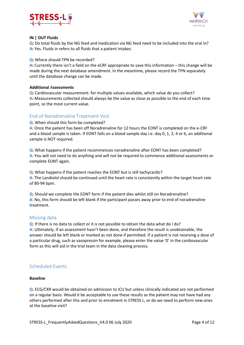



#### **IN | OUT Fluids**

**Q:** Do total fluids by the NG feed and medication via NG feed need to be included into the oral in? **A:** Yes. Fluids in refers to all fluids that a patient intakes.

#### **Q:** Where should TPN be recorded?

**A:** Currently there isn't a field on the eCRF appropriate to save this information – this change will be made during the next database amendment. In the meantime, please record the TPN separately until the database change can be made.

#### **Additional** A**ssessments**

**Q:** Cardiovascular measurement: for multiple values available, which value do you collect? **A:** Measurements collected should always be the value as close as possible to the end of each time point, so the most current value.

#### <span id="page-3-0"></span>End of Noradrenaline Treatment Visit

**Q**: When should this form be completed?

**A**: Once the patient has been off Noradrenaline for 12 hours the EONT is completed on the e-CRF and a blood sample is taken. If EONT falls on a blood sample day i.e. day 0, 1, 2, 4 or 6, an additional sample is NOT required.

**Q**: What happens if the patient recommences noradrenaline after EONT has been completed? **A**: You will not need to do anything and will not be required to commence additional assessments or complete EONT again.

**Q**: What happens if the patient reaches the EONT but is still tachycardic? **A**: The Landiolol should be continued until the heart rate is consistently within the target heart rate of 80-94 bpm.

**Q**: Should we complete the EONT form if the patient dies whilst still on Noradrenaline? **A**: No, this form should be left blank if the participant passes away prior to end of noradrenaline treatment.

#### <span id="page-3-1"></span>Missing data

**Q**: If there is no data to collect or it is not possible to obtain the data what do I do? **A**: Ultimately, if an assessment hasn't been done, and therefore the result is unobtainable, the answer should be left blank or marked as not done if permitted. If a patient is not receiving a dose of a particular drug, such as vasopressin for example, please enter the value '0' in the cardiovascular form as this will aid in the trial team in the data cleaning process.

#### <span id="page-3-2"></span>Scheduled Events

#### **Baseline**

**Q**: ECG/CXR would be obtained on admission to ICU but unless clinically indicated are not performed on a regular basis. Would it be acceptable to use these results as the patient may not have had any others performed after this and prior to enrolment in STRESS L, or do we need to perform new ones at the baseline visit?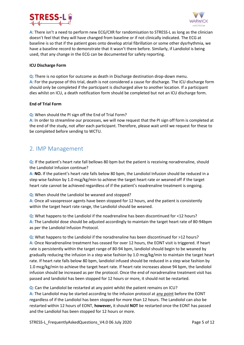



**A**: There isn't a need to perform new ECG/CXR for randomisation to STRESS-L as long as the clinician doesn't feel that they will have changed from baseline or if not clinically indicated. The ECG at baseline is so that if the patient goes onto develop atrial fibrillation or some other dysrhythmia, we have a baseline record to demonstrate that it wasn't there before. Similarly, if Landiolol is being used, that any change in the ECG can be documented for safety reporting.

#### **ICU Discharge Form**

**Q**: There is no option for outcome as death in Discharge destination drop-down menu. **A:** For the purpose of this trial, death is not considered a cause for discharge. The ICU discharge form should only be completed if the participant is discharged alive to another location. If a participant dies whilst on ICU, a death notification form should be completed but not an ICU discharge form.

#### **End of Trial Form**

**Q**: When should the PI sign off the End of Trial Form?

**A:** In order to streamline our processes, we will now request that the PI sign off form is completed at the end of the study, not after each participant. Therefore, please wait until we request for these to be completed before sending to WCTU.

## <span id="page-4-0"></span>2. IMP Management

**Q**: If the patient's heart rate fall bellows 80 bpm but the patient is receiving noradrenaline, should the Landiolol Infusion continue?

**A: NO.** If the patient's heart rate falls below 80 bpm, the Landiolol Infusion should be reduced in a step wise fashion by 1.0 mcg/kg/min to achieve the target heart rate or weaned off if the target heart rate cannot be achieved regardless of if the patient's noadrenaline treatment is ongoing.

**Q**: When should the Landiolol be weaned and stopped?

**A:** Once all vasopressor agents have been stopped for 12 hours, and the patient is consistently within the target heart rate range, the Landiolol should be weaned.

**Q**: What happens to the Landiolol if the noadrenaline has been discontinued for <12 hours? **A:** The Landiolol dose should be adjusted accordingly to maintain the target heart rate of 80-94bpm as per the Landiolol Infusion Protocol.

**Q**: What happens to the Landiolol if the noradrenaline has been discontinued for >12 hours? **A:** Once Noradrenaline treatment has ceased for over 12 hours, the EONT visit is triggered. If heart rate is persistently within the target range of 80-94 bpm, landiolol should begin to be weaned by gradually reducing the infusion in a step wise fashion by 1.0 mcg/kg/min to maintain the target heart rate. If heart rate falls below 80 bpm, landiolol infused should be reduced in a step wise fashion by 1.0 mcg/kg/min to achieve the target heart rate. If heart rate increases above 94 bpm, the landiolol infusion should be increased as per the protocol. Once the end of noradrenaline treatment visit has passed and landiolol has been stopped for 12 hours or more, it should not be restarted.

**Q**: Can the Landiolol be restarted at any point whilst the patient remains on ICU? **A:** The Landiolol may be started according to the infusion protocol at any point before the EONT regardless of if the Landiolol has been stopped for more than 12 hours. The Landiolol can also be restarted within 12 hours of EONT, **however,** it should **NOT** be restarted once the EONT has passed and the Landiolol has been stopped for 12 hours or more.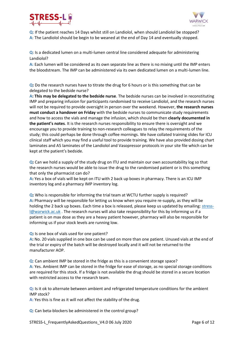



**Q**: If the patient reaches 14 Days whilst still on Landiolol, when should Landiolol be stopped? **A**: The Landiolol should be begin to be weaned at the end of Day 14 and eventually stopped.

**Q**: Is a dedicated lumen on a multi-lumen central line considered adequate for administering Landiolol?

**A:** Each lumen will be considered as its own separate line as there is no mixing until the IMP enters the bloodstream. The IMP can be administered via its own dedicated lumen on a multi-lumen line.

**Q:** Do the research nurses have to titrate the drug for 6 hours or is this something that can be delegated to the bedside nurse?

**A: This may be delegated to the bedside nurse**. The bedside nurses can be involved in reconstituting IMP and preparing infusion for participants randomised to receive Landiolol, and the research nurses will not be required to provide oversight in person over the weekend. However, **the research nurses must conduct a handover on Friday** with the bedside nurses to communicate study requirements and how to access the vials and manage the infusion, which should be then **clearly documented in the patient's notes**. It is the research nurses responsibility to ensure there is oversight and we encourage you to provide training to non-research colleagues to relay the requirements of the study; this could perhaps be done through coffee mornings. We have collated training slides for ICU clinical staff which you may find a useful tool to provide training. We have also provided dosing chart laminates and A5 laminates of the Landiolol and Vasopressor protocols in your site file which can be kept at the patient's bedside.

**Q:** Can we hold a supply of the study drug on ITU and maintain our own accountability log so that the research nurses would be able to issue the drug to the randomised patient or is this something that only the pharmacist can do?

**A:** Yes a box of vials will be kept on ITU with 2 back up boxes in pharmacy. There is an ICU IMP inventory log and a pharmacy IMP inventory log.

**Q:** Who is responsible for informing the trial team at WCTU further supply is required? **A:** Pharmacy will be responsible for letting us know when you require re-supply, as they will be holding the 2 back up boxes. Each time a box is released, please keep us updated by emailing[: stress](mailto:stress-l@warwick.ac.uk)[l@warwick.ac.uk](mailto:stress-l@warwick.ac.uk). The research nurses will also take responsibility for this by informing us if a patient is on max dose as they are a heavy patient however, pharmacy will also be responsible for informing us if your stock levels are running low.

**Q:** Is one box of vials used for one patient?

**A:** No. 20 vials supplied in one box can be used on more than one patient. Unused vials at the end of the trial or expiry of the batch will be destroyed locally and it will not be returned to the manufacturer AOP.

**Q**: Can ambient IMP be stored in the fridge as this is a convenient storage space? **A**: Yes. Ambient IMP can be stored in the fridge for ease of storage, as no special storage conditions are required for this stock. If a fridge is not available the drug should be stored in a secure location with restricted access to the research team.

**Q:** Is it ok to alternate between ambient and refrigerated temperature conditions for the ambient IMP stock?

**A:** Yes this is fine as it will not affect the stability of the drug.

**Q**: Can beta-blockers be administered in the control group?

STRESS-L\_FrequentlyAskedQuestions\_V4.0 06 July 2020 Page 6 of 12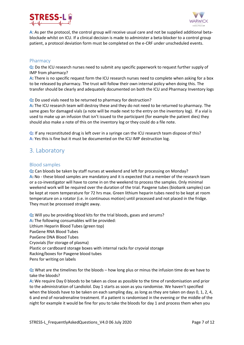



**A**: As per the protocol, the control group will receive usual care and not be supplied additional betablockade whilst on ICU. If a clinical decision is made to administer a beta-blocker to a control group patient, a protocol deviation form must be completed on the e-CRF under unscheduled events.

#### <span id="page-6-0"></span>Pharmacy

**Q:** Do the ICU research nurses need to submit any specific paperwork to request further supply of IMP from pharmacy?

**A:** There is no specific request form the ICU research nurses need to complete when asking for a box to be released by pharmacy. The trust will follow their own internal policy when doing this. The transfer should be clearly and adequately documented on both the ICU and Pharmacy Inventory logs

**Q:** Do used vials need to be returned to pharmacy for destruction?

**A:** The ICU research team will destroy these and they do not need to be returned to pharmacy. The same goes for damaged vials (a note will be made next to the entry on the inventory log). If a vial is used to make up an infusion that isn't issued to the participant (for example the patient dies) they should also make a note of this on the inventory log or they could do a file note.

**Q:** If any reconstituted drug is left over in a syringe can the ICU research team dispose of this? **A:** Yes this is fine but it must be documented on the ICU IMP destruction log.

# <span id="page-6-1"></span>3. Laboratory

#### <span id="page-6-2"></span>Blood samples

**Q:** Can bloods be taken by staff nurses at weekend and left for processing on Monday? **A:** No - these blood samples are mandatory and it is expected that a member of the research team or a co-investigator will have to come in on the weekend to process the samples. Only minimal weekend work will be required over the duration of the trial. Paxgene tubes (biobank samples) can be kept at room temperature for 72 hrs max. Green lithium heparin tubes need to be kept at room temperature on a rotator (i.e. in continuous motion) until processed and not placed in the fridge. They must be processed straight away.

**Q:** Will you be providing blood kits for the trial bloods, gases and serums? A: The following consumables will be provided: Lithium Heparin Blood Tubes (green top) PaxGene RNA Blood Tubes PaxGene DNA Blood Tubes Cryovials (for storage of plasma) Plastic or cardboard storage boxes with internal racks for cryovial storage Racking/boxes for Paxgene blood tubes Pens for writing on labels

**Q:** What are the timelines for the bloods – how long plus or minus the infusion time do we have to take the bloods?

**A:** We require Day 0 bloods to be taken as close as possible to the time of randomisation and prior to the administration of Landiolol. Day 1 starts as soon as you randomise. We haven't specified when the bloods have to be taken on each sampling day, as long as they are taken on days 0, 1, 2, 4, 6 and end of noradrenaline treatment. If a patient is randomised in the evening or the middle of the night for example it would be fine for you to take the bloods for day 1 and process them when you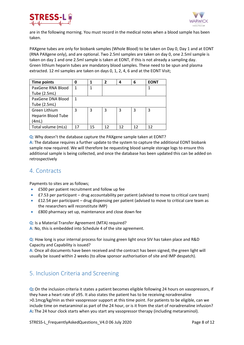



are in the following morning. You must record in the medical notes when a blood sample has been taken.

PAXgene tubes are only for biobank samples (Whole Blood) to be taken on Day 0, Day 1 and at EONT (RNA PAXgene only), and are optional. Two 2.5ml samples are taken on day 0, one 2.5ml sample is taken on day 1 and one 2.5ml sample is taken at EONT, if this is not already a sampling day. Green lithium heparin tubes are mandatory blood samples. These need to be spun and plasma extracted. 12 ml samples are taken on days 0, 1, 2, 4, 6 and at the EONT Visit;

| <b>Time points</b>        | 0  | 1  | $\mathbf{2}$ | 4  | 6  | <b>EONT</b> |
|---------------------------|----|----|--------------|----|----|-------------|
| PaxGene RNA Blood         | 1  |    |              |    |    |             |
| Tube (2.5mL)              |    |    |              |    |    |             |
| PaxGene DNA Blood         | 1  |    |              |    |    |             |
| Tube (2.5mL)              |    |    |              |    |    |             |
| Green Lithium             | 3  | 3  | 3            | 3  | 3  | 3           |
| <b>Heparin Blood Tube</b> |    |    |              |    |    |             |
| (4mL)                     |    |    |              |    |    |             |
| Total volume (mLs)        | 17 | 15 | 12           | 12 | 12 | 12          |

**Q**: Why doesn't the database capture the PAXgene sample taken at EONT?

**A**: The database requires a further update to the system to capture the additional EONT biobank sample now required. We will therefore be requesting blood sample storage logs to ensure this additional sample is being collected, and once the database has been updated this can be added on retrospectively

# <span id="page-7-0"></span>4. Contracts

Payments to sites are as follows;

- £500 per patient recruitment and follow up fee
- £7.53 per participant drug accountability per patient (advised to move to critical care team)
- **£12.54** per participant drug dispensing per patient (advised to move to critical care team as the researchers will reconstitute IMP)
- £800 pharmacy set up, maintenance and close down fee

**Q**: Is a Material Transfer Agreement (MTA) required?

**A**: No, this is embedded into Schedule 4 of the site agreement.

**Q**: How long is your internal process for issuing green light once SIV has taken place and R&D Capacity and Capability is issued?

**A**: Once all documents have been received and the contract has been signed, the green light will usually be issued within 2 weeks (to allow sponsor authorisation of site and IMP despatch).

# <span id="page-7-1"></span>5. Inclusion Criteria and Screening

**Q:** On the inclusion criteria it states a patient becomes eligible following 24 hours on vasopressors, if they have a heart rate of ≥95. It also states the patient has to be receiving noradrenaline >0.1mcg/kg/min as their vasopressor support at this time point. For patients to be eligible, can we include time on metaraminol as part of the 24 hour, or is it from the start of noradrenaline infusion? **A:** The 24 hour clock starts when you start any vasopressor therapy (including metaraminol).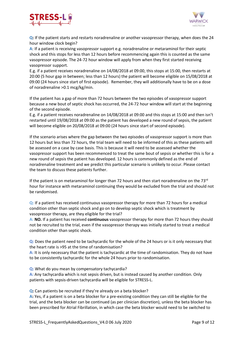



**Q:** If the patient starts and restarts noradrenaline or another vasopressor therapy, when does the 24 hour window clock begin?

**A**: If a patient is receiving vasopressor support e.g. noradrenaline or metaraminol for their septic shock and this stops for less than 12 hours before recommencing again this is counted as the same vasopressor episode. The 24-72 hour window will apply from when they first started receiving vasopressor support.

E.g. if a patient receives noradrenaline on 14/08/2018 at 09:00, this stops at 15:00, then restarts at 20:00 (5 hour gap in between; less than 12 hours) the patient will become eligible on 15/08/2018 at 09:00 (24 hours since start of first episode). Remember, they will additionally have to be on a dose of noradrenaline >0.1 mcg/kg/min.

If the patient has a gap of more than 72 hours between the two episodes of vasopressor support because a new bout of septic shock has occurred, the 24-72 hour window will start at the beginning of the second episode.

E.g. if a patient receives noradrenaline on 14/08/2018 at 09:00 and this stops at 15:00 and then isn't restarted until 19/08/2018 at 09:00 as the patient has developed a new round of sepsis, the patient will become eligible on 20/08/2018 at 09:00 (24 hours since start of second episode).

If the scenario arises where the gap between the two episodes of vasopressor support is more than 12 hours but less than 72 hours, the trial team will need to be informed of this as these patients will be assessed on a case by case basis. This is because it will need to be assessed whether the vasopressor support has been recommenced to treat the same bout of sepsis or whether this is for a new round of sepsis the patient has developed. 12 hours is commonly defined as the end of noradrenaline treatment and we predict this particular scenario is unlikely to occur. Please contact the team to discuss these patients further.

If the patient is on metaraminol for longer than 72 hours and then start noradrenaline on the 73 $rd$ hour for instance with metaraminol continuing they would be excluded from the trial and should not be randomised.

**Q:** If a patient has received continuous vasopressor therapy for more than 72 hours for a medical condition other than septic shock and go on to develop septic shock which is treatment by vasopressor therapy, are they eligible for the trial?

**A: NO.** If a patient has received **continuous** vasopressor therapy for more than 72 hours they should not be recruited to the trial, even if the vasopressor therapy was initially started to treat a medical condition other than septic shock.

**Q:** Does the patient need to be tachycardic for the whole of the 24 hours or is it only necessary that the heart rate is >95 at the time of randomisation?

**A:** It is only necessary that the patient is tachycardic at the time of randomisation. They do not have to be consistently tachycardic for the whole 24 hours prior to randomisation.

**Q:** What do you mean by compensatory tachycardia?

**A:** Any tachycardia which is not sepsis driven, but is instead caused by another condition. Only patients with sepsis-driven tachycardia will be eligible for STRESS-L.

**Q:** Can patients be recruited if they're already on a beta blocker?

**A:** Yes, if a patient is on a beta blocker for a pre-existing condition they can still be eligible for the trial, and the beta blocker can be continued (as per clinician discretion), unless the beta blocker has been prescribed for Atrial Fibrillation, in which case the beta blocker would need to be switched to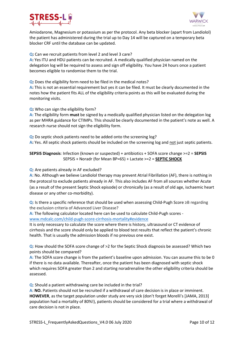



Amiodarone, Magnesium or potassium as per the protocol. Any beta blocker (apart from Landiolol) the patient has administered during the trial up to Day 14 will be captured on a temporary beta blocker CRF until the database can be updated.

**Q:** Can we recruit patients from level 2 and level 3 care?

**A:** Yes ITU and HDU patients can be recruited. A medically qualified physician named on the delegation log will be required to assess and sign off eligibility. You have 24 hours once a patient becomes eligible to randomise them to the trial.

**Q:** Does the eligibility form need to be filed in the medical notes?

**A:** This is not an essential requirement but yes it can be filed. It must be clearly documented in the notes how the patient fits ALL of the eligibility criteria points as this will be evaluated during the monitoring visits.

**Q:** Who can sign the eligibility form?

**A:** The eligibility form **must** be signed by a medically qualified physician listed on the delegation log as per MHRA guidance for CTIMPs. This should be clearly documented in the patient's note as well. A research nurse should not sign the eligibility form.

**Q:** Do septic shock patients need to be added onto the screening log? **A:** Yes. All septic shock patients should be included on the screening log and not just septic patients.

**SEPSIS Diagnosis**: Infection (known or suspected) + antibiotics + SOFA score change >=2 = **SEPSIS** SEPSIS + Noradr (for Mean BP=65) + Lactate >=2 = **SEPTIC SHOCK**

**Q**: Are patients already in AF excluded?

**A**: No. Although we believe Landiolol therapy may prevent Atrial Fibrillation (AF), there is nothing in the protocol to exclude patients already in AF. This also includes AF from all sources whether Acute (as a result of the present Septic Shock episode) or chronically (as a result of old age, ischaemic heart disease or any other co-morbidity).

**Q**: Is there a specific reference that should be used when assessing Child-Pugh Score ≥B regarding the exclusion criteria of Advanced Liver Disease?

**A:** The following calculator located here can be used to calculate Child-Pugh scores [www.mdcalc.com/child-pugh-score-cirrhosis-mortality#evidence](http://www.mdcalc.com/child-pugh-score-cirrhosis-mortality#evidence)

It is only necessary to calculate the score where there is history, ultrasound or CT evidence of cirrhosis and the score should only be applied to blood test results that reflect the patient's chronic health. That is usually the admission bloods if no previous one exist.

**Q**: How should the SOFA score change of >2 for the Septic Shock diagnosis be assessed? Which two points should be compared?

**A:** The SOFA score change is from the patient's baseline upon admission. You can assume this to be 0 if there is no data available. Thereafter, once the patient has been diagnosed with septic shock which requires SOFA greater than 2 and starting noradrenaline the other eligibility criteria should be assessed.

**Q**: Should a patient withdrawing care be included in the trial?

**A**: **NO.** Patients should not be recruited if a withdrawal of care decision is in place or imminent. **HOWEVER**, as the target population under study are very sick (don't forget Morelli's [JAMA, 2013] population had a mortality of 80%!), patients should be considered for a trial where a withdrawal of care decision is not in place.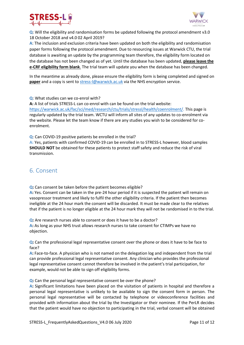



**Q**: Will the eligibility and randomisation forms be updated following the protocol amendment v3.0 18 October 2018 and v4.0 02 April 2019?

**A**: The inclusion and exclusion criteria have been updated on both the eligibility and randomisation paper forms following the protocol amendment. Due to resourcing issues at Warwick CTU, the trial database is awaiting an update by the programming team therefore, the eligibility form located on the database has not been changed as of yet. Until the database has been updated, **please leave the e-CRF eligibility form blank**. The trial team will update you when the database has been changed.

In the meantime as already done, please ensure the eligibility form is being completed and signed on **paper** and a copy is sent to [stress-l@warwick.ac.uk](mailto:stress-l@warwick.ac.uk) via the NHS encryption service.

**Q**: What studies can we co-enrol with?

**A:** A list of trials STRESS-L can co-enrol with can be found on the trial website:

[https://warwick.ac.uk/fac/sci/med/research/ctu/trials/stressl/health/coenrolment/.](https://warwick.ac.uk/fac/sci/med/research/ctu/trials/stressl/health/coenrolment/) This page is regularly updated by the trial team. WCTU will inform all sites of any updates to co-enrolment via the website. Please let the team know if there are any studies you wish to be considered for coenrolment.

**Q**: Can COVID-19 positive patients be enrolled in the trial?

**A:** Yes, patients with confirmed COVID-19 can be enrolled in to STRESS-L however, blood samples **SHOULD NOT** be obtained for these patients to protect staff safety and reduce the risk of viral transmission.

# <span id="page-10-0"></span>6. Consent

**Q:** Can consent be taken before the patient becomes eligible?

**A:** Yes. Consent can be taken in the pre-24 hour period if it is suspected the patient will remain on vasopressor treatment and likely to fulfil the other eligibility criteria. If the patient then becomes ineligible at the 24 hour mark the consent will be discarded. It must be made clear to the relatives that if the patient is no longer eligible at the 24 hour mark they will not be randomised in to the trial.

**Q:** Are research nurses able to consent or does it have to be a doctor? **A:** As long as your NHS trust allows research nurses to take consent for CTIMPs we have no objection.

**Q:** Can the professional legal representative consent over the phone or does it have to be face to face?

**A:** Face-to-face. A physician who is not named on the delegation log and independent from the trial can provide professional legal representative consent. Any clinician who provides the professional legal representative consent cannot therefore be involved in the patient's trial participation, for example, would not be able to sign off eligibility forms.

**Q:** Can the personal legal representative consent be over the phone?

**A:** Significant limitations have been placed on the visitation of patients in hospital and therefore a personal legal representative is unlikely to be available to sign the consent form in person. The personal legal representative will be contacted by telephone or videoconference facilities and provided with information about the trial by the Investigator or their nominee. If the PerLR decides that the patient would have no objection to participating in the trial, verbal consent will be obtained